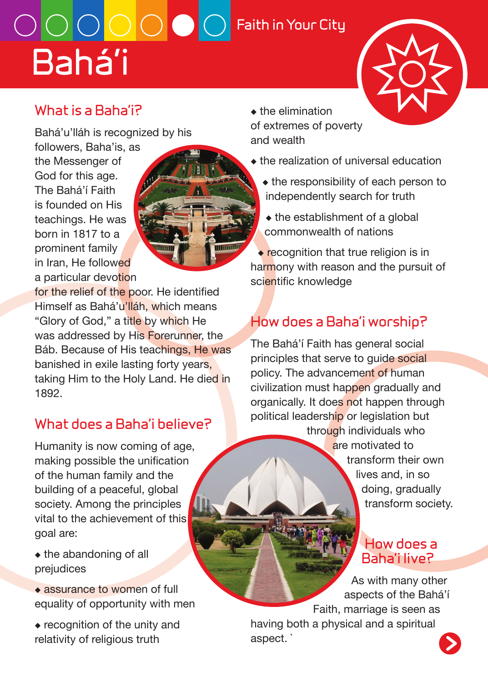# **Bahá'i**  $\overline{\text{O}}$   $\overline{\text{O}}$   $\overline{\text{O}}$   $\overline{\text{O}}$   $\overline{\text{O}}$   $\overline{\text{F}}$ aith in Your City

## **What is a Baha'i?**

Bahá'u'lláh is recognized by his

followers, Baha'is, as the Messenger of God for this age. The Bahá'í Faith is founded on His teachings. He was born in 1817 to a prominent family in Iran, He followed a particular devotion

for the relief of the poor. He identified Himself as Bahá'u'lláh, which means "Glory of God," a title by which He was addressed by His Forerunner, the Báb. Because of His teachings, He was banished in exile lasting forty years, taking Him to the Holy Land. He died in 1892.

## **What does a Baha'i believe?**

Humanity is now coming of age, making possible the unification of the human family and the building of a peaceful, global society. Among the principles vital to the achievement of this goal are:

- ◆ the abandoning of all prejudices
- ◆ assurance to women of full equality of opportunity with men
- ◆ recognition of the unity and relativity of religious truth
- ◆ the elimination of extremes of poverty and wealth
- ◆ the realization of universal education
	- ◆ the responsibility of each person to independently search for truth
	- ◆ the establishment of a global commonwealth of nations

◆ recognition that true religion is in harmony with reason and the pursuit of scientific knowledge

# **How does a Baha'i worship?**

The Bahá'í Faith has general social principles that serve to guide social policy. The advancement of human civilization must happen gradually and organically. It does not happen through political leadership or legislation but through individuals who are motivated to

transform their own lives and, in so doing, gradually transform society.

### **How does a Baha'i live?**

As with many other aspects of the Bahá'í Faith, marriage is seen as having both a physical and a spiritual aspect. `